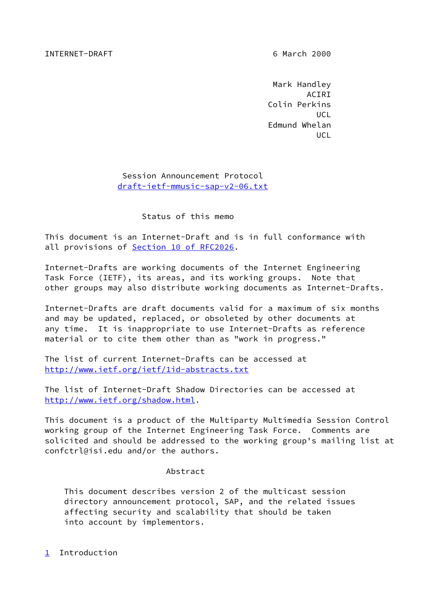### INTERNET-DRAFT 6 March 2000

 Mark Handley ACIRI Colin Perkins **UCL** The contract of the contract of the contract of the contract of the contract of the contract of the contract of the contract of the contract of the contract of the contract of the contract of the contract of the cont Edmund Whelan **UCL** The contract of the contract of the contract of the contract of the contract of the contract of the contract of the contract of the contract of the contract of the contract of the contract of the contract of the cont

> Session Announcement Protocol [draft-ietf-mmusic-sap-v2-06.txt](https://datatracker.ietf.org/doc/pdf/draft-ietf-mmusic-sap-v2-06.txt)

> > Status of this memo

This document is an Internet-Draft and is in full conformance with all provisions of Section [10 of RFC2026.](https://datatracker.ietf.org/doc/pdf/rfc2026#section-10)

Internet-Drafts are working documents of the Internet Engineering Task Force (IETF), its areas, and its working groups. Note that other groups may also distribute working documents as Internet-Drafts.

Internet-Drafts are draft documents valid for a maximum of six months and may be updated, replaced, or obsoleted by other documents at any time. It is inappropriate to use Internet-Drafts as reference material or to cite them other than as "work in progress."

The list of current Internet-Drafts can be accessed at <http://www.ietf.org/ietf/1id-abstracts.txt>

The list of Internet-Draft Shadow Directories can be accessed at <http://www.ietf.org/shadow.html>.

This document is a product of the Multiparty Multimedia Session Control working group of the Internet Engineering Task Force. Comments are solicited and should be addressed to the working group's mailing list at confctrl@isi.edu and/or the authors.

#### Abstract

 This document describes version 2 of the multicast session directory announcement protocol, SAP, and the related issues affecting security and scalability that should be taken into account by implementors.

<span id="page-0-0"></span>[1](#page-0-0) Introduction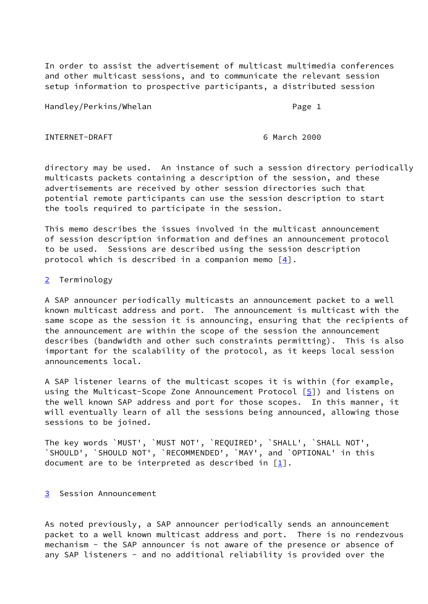In order to assist the advertisement of multicast multimedia conferences and other multicast sessions, and to communicate the relevant session setup information to prospective participants, a distributed session

Handley/Perkins/Whelan **Page 1** Page 1

INTERNET-DRAFT 6 March 2000

directory may be used. An instance of such a session directory periodically multicasts packets containing a description of the session, and these advertisements are received by other session directories such that potential remote participants can use the session description to start the tools required to participate in the session.

This memo describes the issues involved in the multicast announcement of session description information and defines an announcement protocol to be used. Sessions are described using the session description protocol which is described in a companion memo  $\lceil 4 \rceil$ .

<span id="page-1-0"></span>[2](#page-1-0) Terminology

A SAP announcer periodically multicasts an announcement packet to a well known multicast address and port. The announcement is multicast with the same scope as the session it is announcing, ensuring that the recipients of the announcement are within the scope of the session the announcement describes (bandwidth and other such constraints permitting). This is also important for the scalability of the protocol, as it keeps local session announcements local.

A SAP listener learns of the multicast scopes it is within (for example, using the Multicast-Scope Zone Announcement Protocol [[5\]](#page-16-1)) and listens on the well known SAP address and port for those scopes. In this manner, it will eventually learn of all the sessions being announced, allowing those sessions to be joined.

The key words `MUST', `MUST NOT', `REQUIRED', `SHALL', `SHALL NOT', `SHOULD', `SHOULD NOT', `RECOMMENDED', `MAY', and `OPTIONAL' in this document are to be interpreted as described in  $[1]$  $[1]$ .

# <span id="page-1-1"></span>[3](#page-1-1) Session Announcement

As noted previously, a SAP announcer periodically sends an announcement packet to a well known multicast address and port. There is no rendezvous mechanism - the SAP announcer is not aware of the presence or absence of any SAP listeners - and no additional reliability is provided over the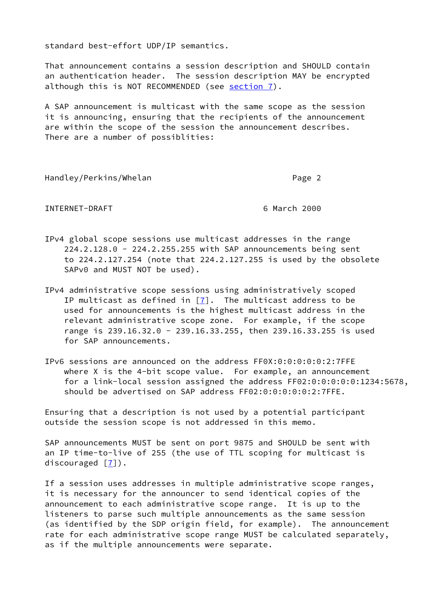standard best-effort UDP/IP semantics.

That announcement contains a session description and SHOULD contain an authentication header. The session description MAY be encrypted although this is NOT RECOMMENDED (see [section 7\)](#page-8-0).

A SAP announcement is multicast with the same scope as the session it is announcing, ensuring that the recipients of the announcement are within the scope of the session the announcement describes. There are a number of possiblities:

Handley/Perkins/Whelan **Page 2** Page 2

INTERNET-DRAFT 6 March 2000

- IPv4 global scope sessions use multicast addresses in the range 224.2.128.0 - 224.2.255.255 with SAP announcements being sent to 224.2.127.254 (note that 224.2.127.255 is used by the obsolete SAPv0 and MUST NOT be used).
- IPv4 administrative scope sessions using administratively scoped IP multicast as defined in  $[7]$  $[7]$ . The multicast address to be used for announcements is the highest multicast address in the relevant administrative scope zone. For example, if the scope range is 239.16.32.0 - 239.16.33.255, then 239.16.33.255 is used for SAP announcements.
- IPv6 sessions are announced on the address FF0X:0:0:0:0:0:2:7FFE where X is the 4-bit scope value. For example, an announcement for a link-local session assigned the address FF02:0:0:0:0:0:1234:5678, should be advertised on SAP address FF02:0:0:0:0:0:2:7FFE.

Ensuring that a description is not used by a potential participant outside the session scope is not addressed in this memo.

SAP announcements MUST be sent on port 9875 and SHOULD be sent with an IP time-to-live of 255 (the use of TTL scoping for multicast is discouraged  $[7]$ ).

If a session uses addresses in multiple administrative scope ranges, it is necessary for the announcer to send identical copies of the announcement to each administrative scope range. It is up to the listeners to parse such multiple announcements as the same session (as identified by the SDP origin field, for example). The announcement rate for each administrative scope range MUST be calculated separately, as if the multiple announcements were separate.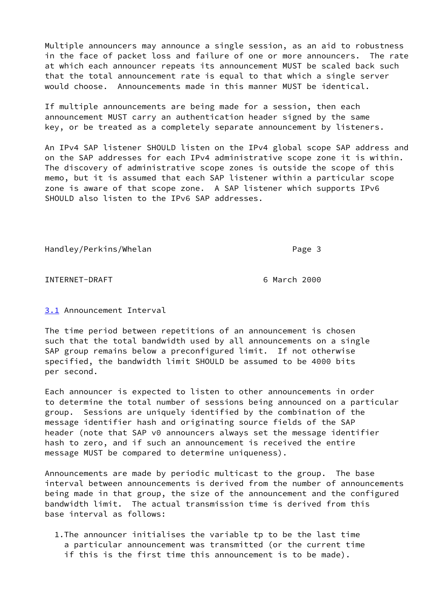Multiple announcers may announce a single session, as an aid to robustness in the face of packet loss and failure of one or more announcers. The rate at which each announcer repeats its announcement MUST be scaled back such that the total announcement rate is equal to that which a single server would choose. Announcements made in this manner MUST be identical.

If multiple announcements are being made for a session, then each announcement MUST carry an authentication header signed by the same key, or be treated as a completely separate announcement by listeners.

An IPv4 SAP listener SHOULD listen on the IPv4 global scope SAP address and on the SAP addresses for each IPv4 administrative scope zone it is within. The discovery of administrative scope zones is outside the scope of this memo, but it is assumed that each SAP listener within a particular scope zone is aware of that scope zone. A SAP listener which supports IPv6 SHOULD also listen to the IPv6 SAP addresses.

Handley/Perkins/Whelan **Page 3** Page 3

INTERNET-DRAFT 6 March 2000

<span id="page-3-0"></span>[3.1](#page-3-0) Announcement Interval

The time period between repetitions of an announcement is chosen such that the total bandwidth used by all announcements on a single SAP group remains below a preconfigured limit. If not otherwise specified, the bandwidth limit SHOULD be assumed to be 4000 bits per second.

Each announcer is expected to listen to other announcements in order to determine the total number of sessions being announced on a particular group. Sessions are uniquely identified by the combination of the message identifier hash and originating source fields of the SAP header (note that SAP v0 announcers always set the message identifier hash to zero, and if such an announcement is received the entire message MUST be compared to determine uniqueness).

Announcements are made by periodic multicast to the group. The base interval between announcements is derived from the number of announcements being made in that group, the size of the announcement and the configured bandwidth limit. The actual transmission time is derived from this base interval as follows:

 1.The announcer initialises the variable tp to be the last time a particular announcement was transmitted (or the current time if this is the first time this announcement is to be made).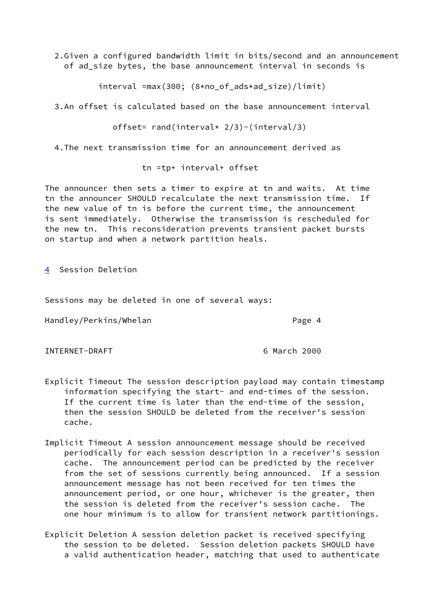2.Given a configured bandwidth limit in bits/second and an announcement of ad size bytes, the base announcement interval in seconds is

interval =max(300; (8\*no\_of\_ads\*ad\_size)/limit)

3.An offset is calculated based on the base announcement interval

offset= rand(interval\*  $2/3$ )-(interval/3)

4.The next transmission time for an announcement derived as

tn =tp+ interval+ offset

The announcer then sets a timer to expire at tn and waits. At time tn the announcer SHOULD recalculate the next transmission time. If the new value of tn is before the current time, the announcement is sent immediately. Otherwise the transmission is rescheduled for the new tn. This reconsideration prevents transient packet bursts on startup and when a network partition heals.

<span id="page-4-0"></span>[4](#page-4-0) Session Deletion

Sessions may be deleted in one of several ways:

Handley/Perkins/Whelan extended to the Page 4

INTERNET-DRAFT 6 March 2000

- Explicit Timeout The session description payload may contain timestamp information specifying the start- and end-times of the session. If the current time is later than the end-time of the session, then the session SHOULD be deleted from the receiver's session cache.
- Implicit Timeout A session announcement message should be received periodically for each session description in a receiver's session cache. The announcement period can be predicted by the receiver from the set of sessions currently being announced. If a session announcement message has not been received for ten times the announcement period, or one hour, whichever is the greater, then the session is deleted from the receiver's session cache. The one hour minimum is to allow for transient network partitionings.
- Explicit Deletion A session deletion packet is received specifying the session to be deleted. Session deletion packets SHOULD have a valid authentication header, matching that used to authenticate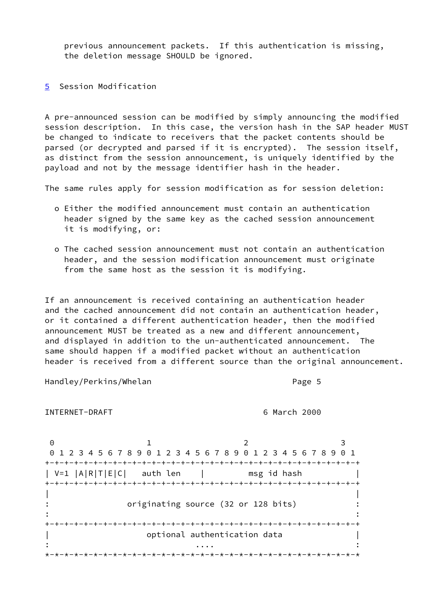previous announcement packets. If this authentication is missing, the deletion message SHOULD be ignored.

<span id="page-5-0"></span>[5](#page-5-0) Session Modification

A pre-announced session can be modified by simply announcing the modified session description. In this case, the version hash in the SAP header MUST be changed to indicate to receivers that the packet contents should be parsed (or decrypted and parsed if it is encrypted). The session itself, as distinct from the session announcement, is uniquely identified by the payload and not by the message identifier hash in the header.

The same rules apply for session modification as for session deletion:

- o Either the modified announcement must contain an authentication header signed by the same key as the cached session announcement it is modifying, or:
- o The cached session announcement must not contain an authentication header, and the session modification announcement must originate from the same host as the session it is modifying.

If an announcement is received containing an authentication header and the cached announcement did not contain an authentication header, or it contained a different authentication header, then the modified announcement MUST be treated as a new and different announcement, and displayed in addition to the un-authenticated announcement. The same should happen if a modified packet without an authentication header is received from a different source than the original announcement.

Handley/Perkins/Whelan **Page 5** Page 5

INTERNET-DRAFT 6 March 2000

0 1 2 3 0 1 2 3 4 5 6 7 8 9 0 1 2 3 4 5 6 7 8 9 0 1 2 3 4 5 6 7 8 9 0 1 +-+-+-+-+-+-+-+-+-+-+-+-+-+-+-+-+-+-+-+-+-+-+-+-+-+-+-+-+-+-+-+-+ | V=1 |A|R|T|E|C| auth len | msg id hash | +-+-+-+-+-+-+-+-+-+-+-+-+-+-+-+-+-+-+-+-+-+-+-+-+-+-+-+-+-+-+-+-+ | | : originating source (32 or 128 bits) : : the contract of the contract of the contract of the contract of the contract of the contract of the contract of the contract of the contract of the contract of the contract of the contract of the contract of the contrac +-+-+-+-+-+-+-+-+-+-+-+-+-+-+-+-+-+-+-+-+-+-+-+-+-+-+-+-+-+-+-+-+ optional authentication data : .... : \*-\*-\*-\*-\*-\*-\*-\*-\*-\*-\*-\*-\*-\*-\*-\*-\*-\*-\*-\*-\*-\*-\*-\*-\*-\*-\*-\*-\*-\*-\*-\*-\*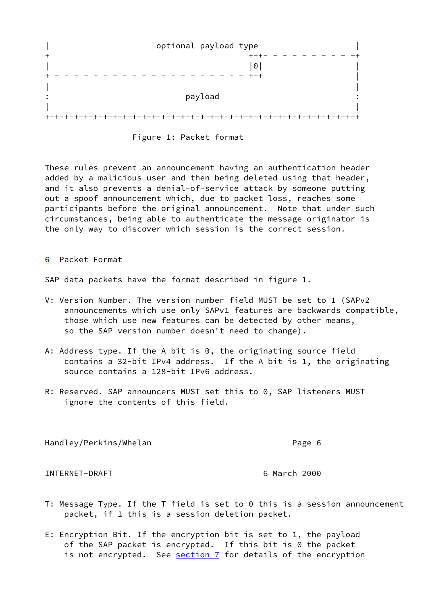|       | optional payload type |
|-------|-----------------------|
| $+$   |                       |
|       | $\odot$               |
|       |                       |
|       |                       |
|       | payload               |
|       |                       |
| $+ -$ |                       |



These rules prevent an announcement having an authentication header added by a malicious user and then being deleted using that header, and it also prevents a denial-of-service attack by someone putting out a spoof announcement which, due to packet loss, reaches some participants before the original announcement. Note that under such circumstances, being able to authenticate the message originator is the only way to discover which session is the correct session.

<span id="page-6-0"></span>[6](#page-6-0) Packet Format

SAP data packets have the format described in figure 1.

- V: Version Number. The version number field MUST be set to 1 (SAPv2 announcements which use only SAPv1 features are backwards compatible, those which use new features can be detected by other means, so the SAP version number doesn't need to change).
- A: Address type. If the A bit is 0, the originating source field contains a 32-bit IPv4 address. If the A bit is 1, the originating source contains a 128-bit IPv6 address.
- R: Reserved. SAP announcers MUST set this to 0, SAP listeners MUST ignore the contents of this field.

Handley/Perkins/Whelan Page 6

INTERNET-DRAFT 6 March 2000

- T: Message Type. If the T field is set to 0 this is a session announcement packet, if 1 this is a session deletion packet.
- E: Encryption Bit. If the encryption bit is set to 1, the payload of the SAP packet is encrypted. If this bit is 0 the packet is not encrypted. See [section 7](#page-8-0) for details of the encryption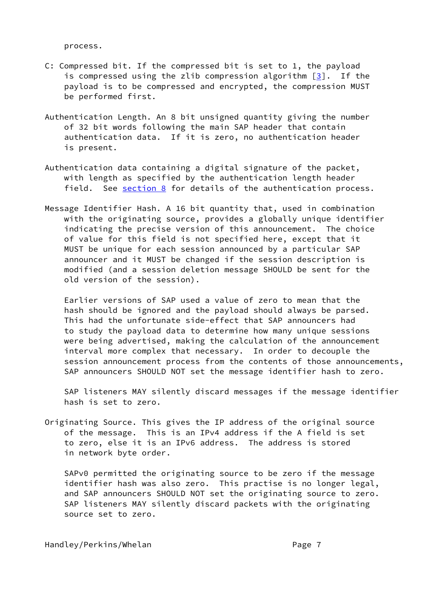process.

- C: Compressed bit. If the compressed bit is set to 1, the payload is compressed using the zlib compression algorithm [\[3](#page-16-4)]. If the payload is to be compressed and encrypted, the compression MUST be performed first.
- Authentication Length. An 8 bit unsigned quantity giving the number of 32 bit words following the main SAP header that contain authentication data. If it is zero, no authentication header is present.
- Authentication data containing a digital signature of the packet, with length as specified by the authentication length header field. See [section 8](#page-10-0) for details of the authentication process.
- Message Identifier Hash. A 16 bit quantity that, used in combination with the originating source, provides a globally unique identifier indicating the precise version of this announcement. The choice of value for this field is not specified here, except that it MUST be unique for each session announced by a particular SAP announcer and it MUST be changed if the session description is modified (and a session deletion message SHOULD be sent for the old version of the session).

 Earlier versions of SAP used a value of zero to mean that the hash should be ignored and the payload should always be parsed. This had the unfortunate side-effect that SAP announcers had to study the payload data to determine how many unique sessions were being advertised, making the calculation of the announcement interval more complex that necessary. In order to decouple the session announcement process from the contents of those announcements, SAP announcers SHOULD NOT set the message identifier hash to zero.

 SAP listeners MAY silently discard messages if the message identifier hash is set to zero.

Originating Source. This gives the IP address of the original source of the message. This is an IPv4 address if the A field is set to zero, else it is an IPv6 address. The address is stored in network byte order.

 SAPv0 permitted the originating source to be zero if the message identifier hash was also zero. This practise is no longer legal, and SAP announcers SHOULD NOT set the originating source to zero. SAP listeners MAY silently discard packets with the originating source set to zero.

Handley/Perkins/Whelan Page 7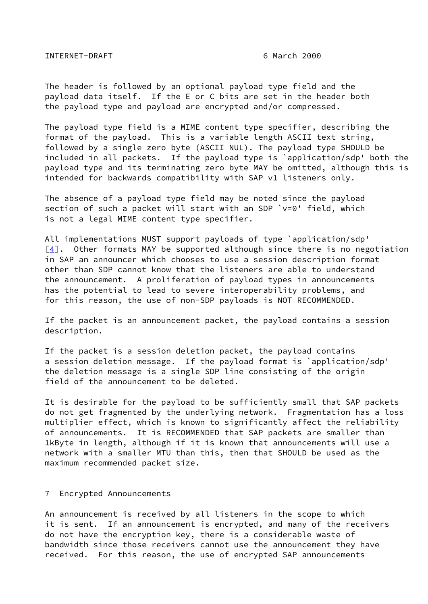INTERNET-DRAFT 6 March 2000

The header is followed by an optional payload type field and the payload data itself. If the E or C bits are set in the header both the payload type and payload are encrypted and/or compressed.

The payload type field is a MIME content type specifier, describing the format of the payload. This is a variable length ASCII text string, followed by a single zero byte (ASCII NUL). The payload type SHOULD be included in all packets. If the payload type is `application/sdp' both the payload type and its terminating zero byte MAY be omitted, although this is intended for backwards compatibility with SAP v1 listeners only.

The absence of a payload type field may be noted since the payload section of such a packet will start with an SDP `v=0' field, which is not a legal MIME content type specifier.

All implementations MUST support payloads of type `application/sdp'  $[4]$ . Other formats MAY be supported although since there is no negotiation in SAP an announcer which chooses to use a session description format other than SDP cannot know that the listeners are able to understand the announcement. A proliferation of payload types in announcements has the potential to lead to severe interoperability problems, and for this reason, the use of non-SDP payloads is NOT RECOMMENDED.

If the packet is an announcement packet, the payload contains a session description.

If the packet is a session deletion packet, the payload contains a session deletion message. If the payload format is `application/sdp' the deletion message is a single SDP line consisting of the origin field of the announcement to be deleted.

It is desirable for the payload to be sufficiently small that SAP packets do not get fragmented by the underlying network. Fragmentation has a loss multiplier effect, which is known to significantly affect the reliability of announcements. It is RECOMMENDED that SAP packets are smaller than 1kByte in length, although if it is known that announcements will use a network with a smaller MTU than this, then that SHOULD be used as the maximum recommended packet size.

### <span id="page-8-0"></span>[7](#page-8-0) Encrypted Announcements

An announcement is received by all listeners in the scope to which it is sent. If an announcement is encrypted, and many of the receivers do not have the encryption key, there is a considerable waste of bandwidth since those receivers cannot use the announcement they have received. For this reason, the use of encrypted SAP announcements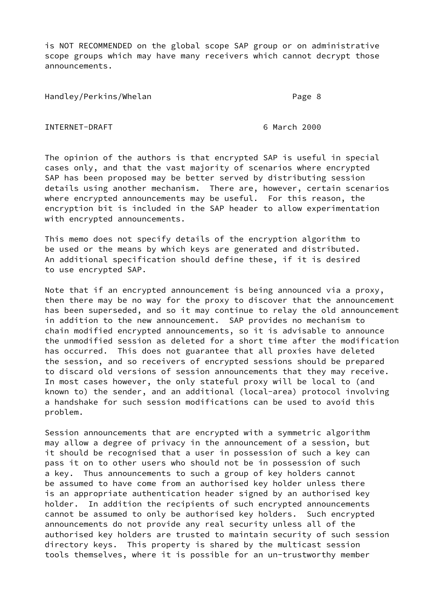is NOT RECOMMENDED on the global scope SAP group or on administrative scope groups which may have many receivers which cannot decrypt those announcements.

Handley/Perkins/Whelan **Page 8** and Page 8

INTERNET-DRAFT 6 March 2000

The opinion of the authors is that encrypted SAP is useful in special cases only, and that the vast majority of scenarios where encrypted SAP has been proposed may be better served by distributing session details using another mechanism. There are, however, certain scenarios where encrypted announcements may be useful. For this reason, the encryption bit is included in the SAP header to allow experimentation with encrypted announcements.

This memo does not specify details of the encryption algorithm to be used or the means by which keys are generated and distributed. An additional specification should define these, if it is desired to use encrypted SAP.

Note that if an encrypted announcement is being announced via a proxy, then there may be no way for the proxy to discover that the announcement has been superseded, and so it may continue to relay the old announcement in addition to the new announcement. SAP provides no mechanism to chain modified encrypted announcements, so it is advisable to announce the unmodified session as deleted for a short time after the modification has occurred. This does not guarantee that all proxies have deleted the session, and so receivers of encrypted sessions should be prepared to discard old versions of session announcements that they may receive. In most cases however, the only stateful proxy will be local to (and known to) the sender, and an additional (local-area) protocol involving a handshake for such session modifications can be used to avoid this problem.

Session announcements that are encrypted with a symmetric algorithm may allow a degree of privacy in the announcement of a session, but it should be recognised that a user in possession of such a key can pass it on to other users who should not be in possession of such a key. Thus announcements to such a group of key holders cannot be assumed to have come from an authorised key holder unless there is an appropriate authentication header signed by an authorised key holder. In addition the recipients of such encrypted announcements cannot be assumed to only be authorised key holders. Such encrypted announcements do not provide any real security unless all of the authorised key holders are trusted to maintain security of such session directory keys. This property is shared by the multicast session tools themselves, where it is possible for an un-trustworthy member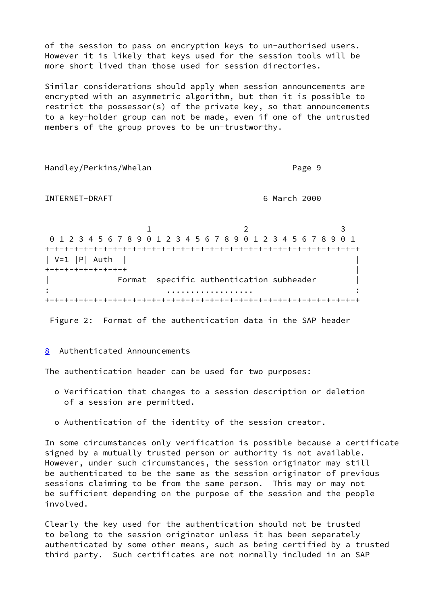of the session to pass on encryption keys to un-authorised users. However it is likely that keys used for the session tools will be more short lived than those used for session directories.

Similar considerations should apply when session announcements are encrypted with an asymmetric algorithm, but then it is possible to restrict the possessor(s) of the private key, so that announcements to a key-holder group can not be made, even if one of the untrusted members of the group proves to be un-trustworthy.

Handley/Perkins/Whelan **Page 9** Page 9 INTERNET-DRAFT 6 March 2000 1 2 3 0 1 2 3 4 5 6 7 8 9 0 1 2 3 4 5 6 7 8 9 0 1 2 3 4 5 6 7 8 9 0 1 +-+-+-+-+-+-+-+-+-+-+-+-+-+-+-+-+-+-+-+-+-+-+-+-+-+-+-+-+-+-+-+-+  $| V=1 | P | Auth$ +-+-+-+-+-+-+-+-+ |  $\blacksquare$  Format specific authentication subheader  $\blacksquare$ : .................. : +-+-+-+-+-+-+-+-+-+-+-+-+-+-+-+-+-+-+-+-+-+-+-+-+-+-+-+-+-+-+-+-+

Figure 2: Format of the authentication data in the SAP header

### <span id="page-10-0"></span>[8](#page-10-0) Authenticated Announcements

The authentication header can be used for two purposes:

- o Verification that changes to a session description or deletion of a session are permitted.
- o Authentication of the identity of the session creator.

In some circumstances only verification is possible because a certificate signed by a mutually trusted person or authority is not available. However, under such circumstances, the session originator may still be authenticated to be the same as the session originator of previous sessions claiming to be from the same person. This may or may not be sufficient depending on the purpose of the session and the people involved.

Clearly the key used for the authentication should not be trusted to belong to the session originator unless it has been separately authenticated by some other means, such as being certified by a trusted third party. Such certificates are not normally included in an SAP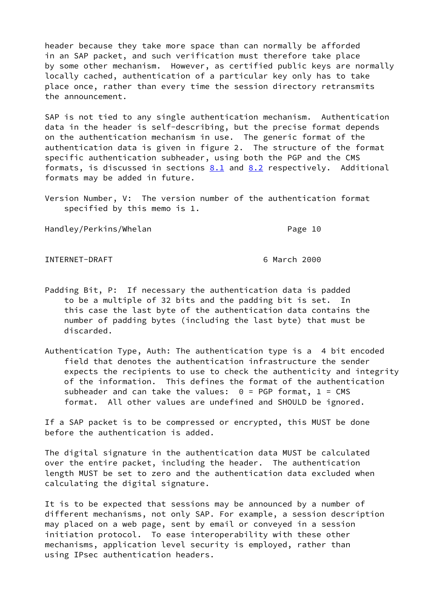header because they take more space than can normally be afforded in an SAP packet, and such verification must therefore take place by some other mechanism. However, as certified public keys are normally locally cached, authentication of a particular key only has to take place once, rather than every time the session directory retransmits the announcement.

SAP is not tied to any single authentication mechanism. Authentication data in the header is self-describing, but the precise format depends on the authentication mechanism in use. The generic format of the authentication data is given in figure 2. The structure of the format specific authentication subheader, using both the PGP and the CMS formats, is discussed in sections  $8.1$  and  $8.2$  respectively. Additional formats may be added in future.

Version Number, V: The version number of the authentication format specified by this memo is 1.

Handley/Perkins/Whelan **Page 10** Page 10

INTERNET-DRAFT 6 March 2000

- Padding Bit, P: If necessary the authentication data is padded to be a multiple of 32 bits and the padding bit is set. In this case the last byte of the authentication data contains the number of padding bytes (including the last byte) that must be discarded.
- Authentication Type, Auth: The authentication type is a 4 bit encoded field that denotes the authentication infrastructure the sender expects the recipients to use to check the authenticity and integrity of the information. This defines the format of the authentication subheader and can take the values:  $0 = PGP$  format,  $1 = CMS$ format. All other values are undefined and SHOULD be ignored.

If a SAP packet is to be compressed or encrypted, this MUST be done before the authentication is added.

The digital signature in the authentication data MUST be calculated over the entire packet, including the header. The authentication length MUST be set to zero and the authentication data excluded when calculating the digital signature.

It is to be expected that sessions may be announced by a number of different mechanisms, not only SAP. For example, a session description may placed on a web page, sent by email or conveyed in a session initiation protocol. To ease interoperability with these other mechanisms, application level security is employed, rather than using IPsec authentication headers.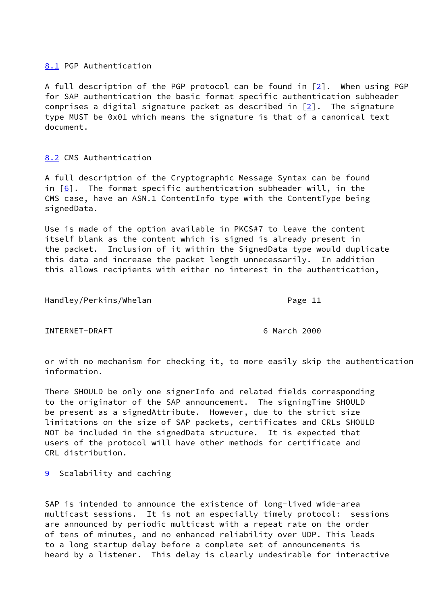# <span id="page-12-0"></span>[8.1](#page-12-0) PGP Authentication

A full description of the PGP protocol can be found in  $[2]$  $[2]$ . When using PGP for SAP authentication the basic format specific authentication subheader comprises a digital signature packet as described in  $[2]$  $[2]$ . The signature type MUST be 0x01 which means the signature is that of a canonical text document.

# <span id="page-12-1"></span>[8.2](#page-12-1) CMS Authentication

A full description of the Cryptographic Message Syntax can be found in  $[6]$  $[6]$ . The format specific authentication subheader will, in the CMS case, have an ASN.1 ContentInfo type with the ContentType being signedData.

Use is made of the option available in PKCS#7 to leave the content itself blank as the content which is signed is already present in the packet. Inclusion of it within the SignedData type would duplicate this data and increase the packet length unnecessarily. In addition this allows recipients with either no interest in the authentication,

Handley/Perkins/Whelan **Page 11** 

INTERNET-DRAFT 6 March 2000

or with no mechanism for checking it, to more easily skip the authentication information.

There SHOULD be only one signerInfo and related fields corresponding to the originator of the SAP announcement. The signingTime SHOULD be present as a signedAttribute. However, due to the strict size limitations on the size of SAP packets, certificates and CRLs SHOULD NOT be included in the signedData structure. It is expected that users of the protocol will have other methods for certificate and CRL distribution.

<span id="page-12-2"></span>**[9](#page-12-2)** Scalability and caching

SAP is intended to announce the existence of long-lived wide-area multicast sessions. It is not an especially timely protocol: sessions are announced by periodic multicast with a repeat rate on the order of tens of minutes, and no enhanced reliability over UDP. This leads to a long startup delay before a complete set of announcements is heard by a listener. This delay is clearly undesirable for interactive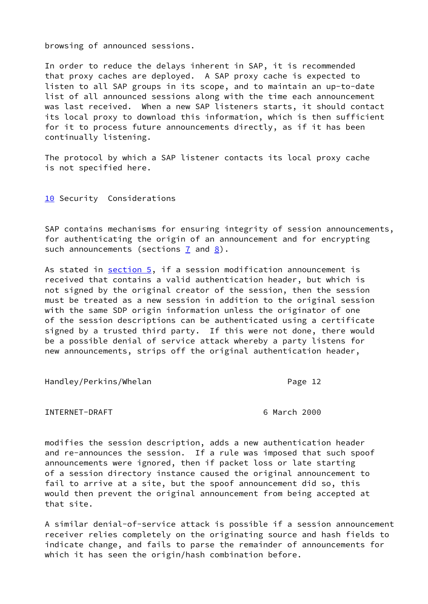browsing of announced sessions.

In order to reduce the delays inherent in SAP, it is recommended that proxy caches are deployed. A SAP proxy cache is expected to listen to all SAP groups in its scope, and to maintain an up-to-date list of all announced sessions along with the time each announcement was last received. When a new SAP listeners starts, it should contact its local proxy to download this information, which is then sufficient for it to process future announcements directly, as if it has been continually listening.

The protocol by which a SAP listener contacts its local proxy cache is not specified here.

<span id="page-13-0"></span>[10](#page-13-0) Security Considerations

SAP contains mechanisms for ensuring integrity of session announcements, for authenticating the origin of an announcement and for encrypting such announcements (sections  $\overline{1}$  and  $\overline{8}$ ).

As stated in [section 5,](#page-5-0) if a session modification announcement is received that contains a valid authentication header, but which is not signed by the original creator of the session, then the session must be treated as a new session in addition to the original session with the same SDP origin information unless the originator of one of the session descriptions can be authenticated using a certificate signed by a trusted third party. If this were not done, there would be a possible denial of service attack whereby a party listens for new announcements, strips off the original authentication header,

Handley/Perkins/Whelan **Page 12** 

INTERNET-DRAFT 6 March 2000

modifies the session description, adds a new authentication header and re-announces the session. If a rule was imposed that such spoof announcements were ignored, then if packet loss or late starting of a session directory instance caused the original announcement to fail to arrive at a site, but the spoof announcement did so, this would then prevent the original announcement from being accepted at that site.

A similar denial-of-service attack is possible if a session announcement receiver relies completely on the originating source and hash fields to indicate change, and fails to parse the remainder of announcements for which it has seen the origin/hash combination before.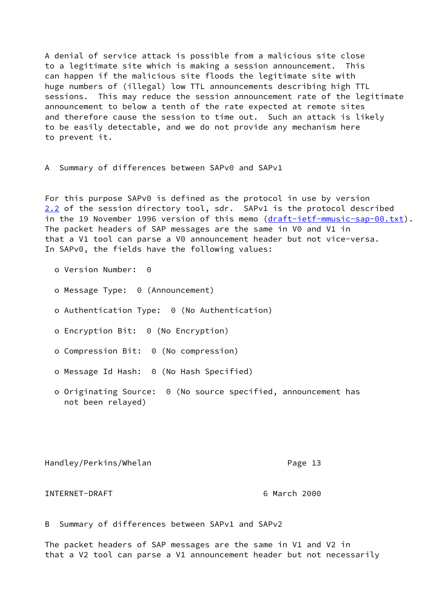A denial of service attack is possible from a malicious site close to a legitimate site which is making a session announcement. This can happen if the malicious site floods the legitimate site with huge numbers of (illegal) low TTL announcements describing high TTL sessions. This may reduce the session announcement rate of the legitimate announcement to below a tenth of the rate expected at remote sites and therefore cause the session to time out. Such an attack is likely to be easily detectable, and we do not provide any mechanism here to prevent it.

A Summary of differences between SAPv0 and SAPv1

<span id="page-14-0"></span>For this purpose SAPv0 is defined as the protocol in use by version [2.2](#page-14-0) of the session directory tool, sdr. SAPv1 is the protocol described in the 19 November 1996 version of this memo ([draft-ietf-mmusic-sap-00.txt\)](https://datatracker.ietf.org/doc/pdf/draft-ietf-mmusic-sap-00.txt). The packet headers of SAP messages are the same in V0 and V1 in that a V1 tool can parse a V0 announcement header but not vice-versa. In SAPv0, the fields have the following values:

- o Version Number: 0
- o Message Type: 0 (Announcement)
- o Authentication Type: 0 (No Authentication)
- o Encryption Bit: 0 (No Encryption)
- o Compression Bit: 0 (No compression)
- o Message Id Hash: 0 (No Hash Specified)
- o Originating Source: 0 (No source specified, announcement has not been relayed)

Handley/Perkins/Whelan **Page 13** 

INTERNET-DRAFT 6 March 2000

B Summary of differences between SAPv1 and SAPv2

The packet headers of SAP messages are the same in V1 and V2 in that a V2 tool can parse a V1 announcement header but not necessarily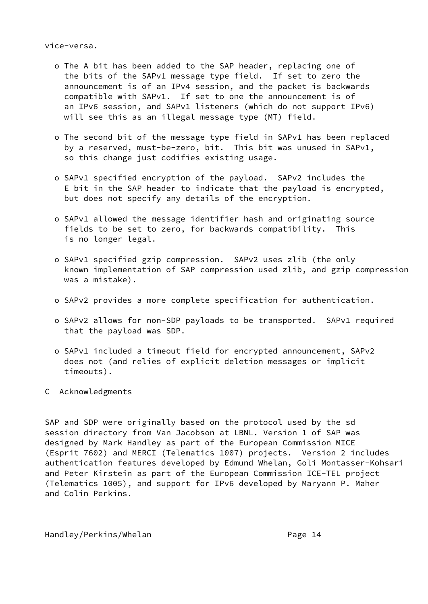vice-versa.

- o The A bit has been added to the SAP header, replacing one of the bits of the SAPv1 message type field. If set to zero the announcement is of an IPv4 session, and the packet is backwards compatible with SAPv1. If set to one the announcement is of an IPv6 session, and SAPv1 listeners (which do not support IPv6) will see this as an illegal message type (MT) field.
- o The second bit of the message type field in SAPv1 has been replaced by a reserved, must-be-zero, bit. This bit was unused in SAPv1, so this change just codifies existing usage.
- o SAPv1 specified encryption of the payload. SAPv2 includes the E bit in the SAP header to indicate that the payload is encrypted, but does not specify any details of the encryption.
- o SAPv1 allowed the message identifier hash and originating source fields to be set to zero, for backwards compatibility. This is no longer legal.
- o SAPv1 specified gzip compression. SAPv2 uses zlib (the only known implementation of SAP compression used zlib, and gzip compression was a mistake).
- o SAPv2 provides a more complete specification for authentication.
- o SAPv2 allows for non-SDP payloads to be transported. SAPv1 required that the payload was SDP.
- o SAPv1 included a timeout field for encrypted announcement, SAPv2 does not (and relies of explicit deletion messages or implicit timeouts).
- C Acknowledgments

SAP and SDP were originally based on the protocol used by the sd session directory from Van Jacobson at LBNL. Version 1 of SAP was designed by Mark Handley as part of the European Commission MICE (Esprit 7602) and MERCI (Telematics 1007) projects. Version 2 includes authentication features developed by Edmund Whelan, Goli Montasser-Kohsari and Peter Kirstein as part of the European Commission ICE-TEL project (Telematics 1005), and support for IPv6 developed by Maryann P. Maher and Colin Perkins.

Handley/Perkins/Whelan Page 14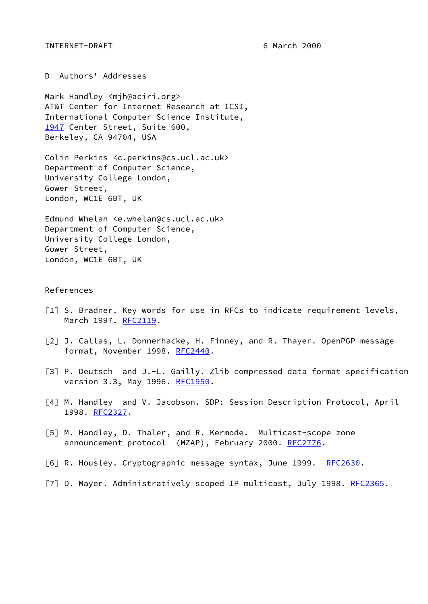D Authors' Addresses

<span id="page-16-7"></span>Mark Handley <mjh@aciri.org> AT&T Center for Internet Research at ICSI, International Computer Science Institute, [1947](#page-16-7) Center Street, Suite 600, Berkeley, CA 94704, USA

Colin Perkins <c.perkins@cs.ucl.ac.uk> Department of Computer Science, University College London, Gower Street, London, WC1E 6BT, UK

Edmund Whelan <e.whelan@cs.ucl.ac.uk> Department of Computer Science, University College London, Gower Street, London, WC1E 6BT, UK

### References

- <span id="page-16-2"></span>[1] S. Bradner. Key words for use in RFCs to indicate requirement levels, March 1997. [RFC2119](https://datatracker.ietf.org/doc/pdf/rfc2119).
- <span id="page-16-5"></span>[2] J. Callas, L. Donnerhacke, H. Finney, and R. Thayer. OpenPGP message format, November 1998. [RFC2440](https://datatracker.ietf.org/doc/pdf/rfc2440).
- <span id="page-16-4"></span>[3] P. Deutsch and J.-L. Gailly. Zlib compressed data format specification version 3.3, May 1996. [RFC1950](https://datatracker.ietf.org/doc/pdf/rfc1950).
- <span id="page-16-0"></span>[4] M. Handley and V. Jacobson. SDP: Session Description Protocol, April 1998. [RFC2327](https://datatracker.ietf.org/doc/pdf/rfc2327).
- <span id="page-16-1"></span>[5] M. Handley, D. Thaler, and R. Kermode. Multicast-scope zone announcement protocol (MZAP), February 2000. [RFC2776](https://datatracker.ietf.org/doc/pdf/rfc2776).
- <span id="page-16-6"></span>[6] R. Housley. Cryptographic message syntax, June 1999. [RFC2630](https://datatracker.ietf.org/doc/pdf/rfc2630).
- <span id="page-16-3"></span>[7] D. Mayer. Administratively scoped IP multicast, July 1998. [RFC2365.](https://datatracker.ietf.org/doc/pdf/rfc2365)